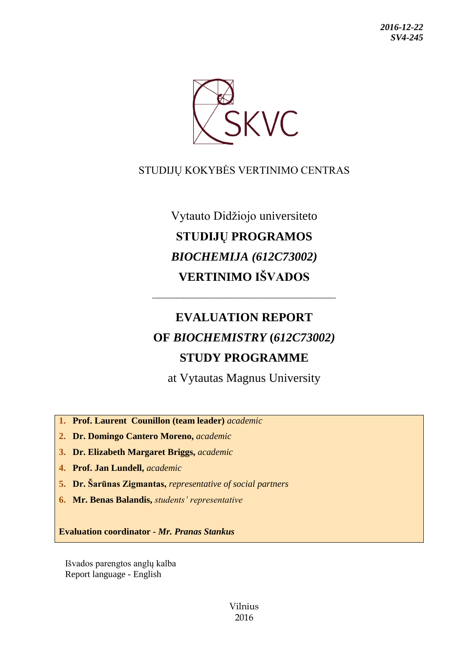

# STUDIJŲ KOKYBĖS VERTINIMO CENTRAS

# Vytauto Didžiojo universiteto **STUDIJŲ PROGRAMOS** *BIOCHEMIJA (612C73002)* **VERTINIMO IŠVADOS**

# **EVALUATION REPORT OF** *BIOCHEMISTRY* **(***612C73002)* **STUDY PROGRAMME**

––––––––––––––––––––––––––––––

at Vytautas Magnus University

**1. Prof. Laurent Counillon (team leader)** *academic*

**2. Dr. Domingo Cantero Moreno,** *academic*

**3. Dr. Elizabeth Margaret Briggs,** *academic*

**4. Prof. Jan Lundell,** *academic*

**5. Dr. Šarūnas Zigmantas,** *representative of social partners*

**6. Mr. Benas Balandis,** *students' representative*

**Evaluation coordinator -** *Mr. Pranas Stankus*

Išvados parengtos anglų kalba Report language - English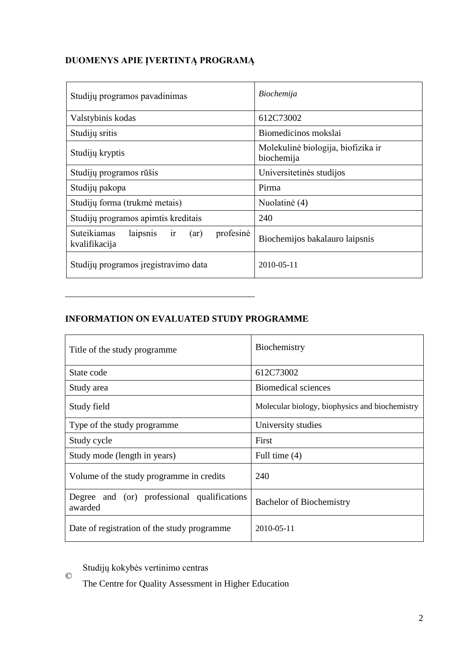# **DUOMENYS APIE ĮVERTINTĄ PROGRAMĄ**

| Studijų programos pavadinimas                                       | Biochemija                                       |
|---------------------------------------------------------------------|--------------------------------------------------|
| Valstybinis kodas                                                   | 612C73002                                        |
| Studijų sritis                                                      | Biomedicinos mokslai                             |
| Studijų kryptis                                                     | Molekulinė biologija, biofizika ir<br>biochemija |
| Studijų programos rūšis                                             | Universitetinės studijos                         |
| Studijų pakopa                                                      | Pirma                                            |
| Studijų forma (trukmė metais)                                       | Nuolatinė (4)                                    |
| Studijų programos apimtis kreditais                                 | 240                                              |
| profesinė<br>Suteikiamas<br>laipsnis<br>ir<br>(ar)<br>kvalifikacija | Biochemijos bakalauro laipsnis                   |
| Studijų programos įregistravimo data                                | $2010 - 05 - 11$                                 |

# **INFORMATION ON EVALUATED STUDY PROGRAMME**

–––––––––––––––––––––––––––––––

| Title of the study programme.                          | Biochemistry                                   |
|--------------------------------------------------------|------------------------------------------------|
| State code                                             | 612C73002                                      |
| Study area                                             | <b>Biomedical sciences</b>                     |
| Study field                                            | Molecular biology, biophysics and biochemistry |
| Type of the study programme                            | University studies                             |
| Study cycle                                            | First                                          |
| Study mode (length in years)                           | Full time $(4)$                                |
| Volume of the study programme in credits               | 240                                            |
| Degree and (or) professional qualifications<br>awarded | <b>Bachelor of Biochemistry</b>                |
| Date of registration of the study programme            | 2010-05-11                                     |

© Studijų kokybės vertinimo centras

The Centre for Quality Assessment in Higher Education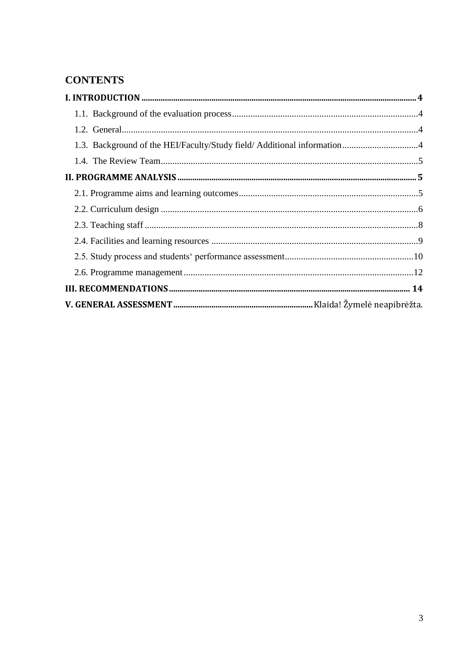# **CONTENTS**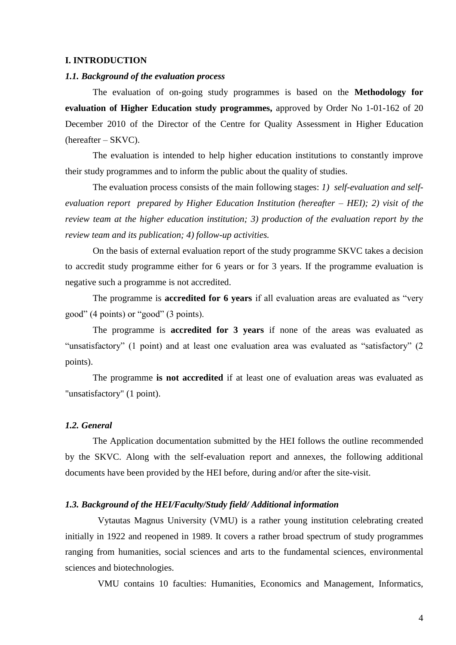## <span id="page-3-0"></span>**I. INTRODUCTION**

# <span id="page-3-1"></span>*1.1. Background of the evaluation process*

The evaluation of on-going study programmes is based on the **Methodology for evaluation of Higher Education study programmes,** approved by Order No 1-01-162 of 20 December 2010 of the Director of the Centre for Quality Assessment in Higher Education (hereafter – SKVC).

The evaluation is intended to help higher education institutions to constantly improve their study programmes and to inform the public about the quality of studies.

The evaluation process consists of the main following stages: *1) self-evaluation and selfevaluation report prepared by Higher Education Institution (hereafter – HEI); 2) visit of the review team at the higher education institution; 3) production of the evaluation report by the review team and its publication; 4) follow-up activities.* 

On the basis of external evaluation report of the study programme SKVC takes a decision to accredit study programme either for 6 years or for 3 years. If the programme evaluation is negative such a programme is not accredited.

The programme is **accredited for 6 years** if all evaluation areas are evaluated as "very good" (4 points) or "good" (3 points).

The programme is **accredited for 3 years** if none of the areas was evaluated as "unsatisfactory" (1 point) and at least one evaluation area was evaluated as "satisfactory" (2 points).

The programme **is not accredited** if at least one of evaluation areas was evaluated as "unsatisfactory" (1 point).

# <span id="page-3-2"></span>*1.2. General*

The Application documentation submitted by the HEI follows the outline recommended by the SKVC. Along with the self-evaluation report and annexes, the following additional documents have been provided by the HEI before, during and/or after the site-visit.

## <span id="page-3-3"></span>*1.3. Background of the HEI/Faculty/Study field/ Additional information*

Vytautas Magnus University (VMU) is a rather young institution celebrating created initially in 1922 and reopened in 1989. It covers a rather broad spectrum of study programmes ranging from humanities, social sciences and arts to the fundamental sciences, environmental sciences and biotechnologies.

VMU contains 10 faculties: Humanities, Economics and Management, Informatics,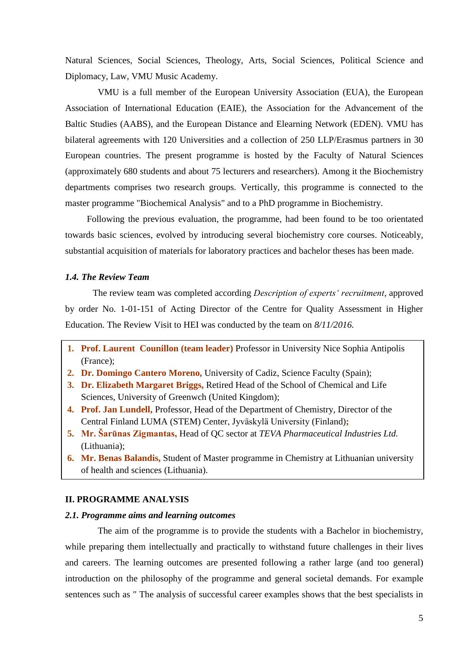Natural Sciences, Social Sciences, Theology, Arts, Social Sciences, Political Science and Diplomacy, Law, VMU Music Academy.

VMU is a full member of the European University Association (EUA), the European Association of International Education (EAIE), the Association for the Advancement of the Baltic Studies (AABS), and the European Distance and Elearning Network (EDEN). VMU has bilateral agreements with 120 Universities and a collection of 250 LLP/Erasmus partners in 30 European countries. The present programme is hosted by the Faculty of Natural Sciences (approximately 680 students and about 75 lecturers and researchers). Among it the Biochemistry departments comprises two research groups. Vertically, this programme is connected to the master programme "Biochemical Analysis" and to a PhD programme in Biochemistry.

Following the previous evaluation, the programme, had been found to be too orientated towards basic sciences, evolved by introducing several biochemistry core courses. Noticeably, substantial acquisition of materials for laboratory practices and bachelor theses has been made.

## <span id="page-4-0"></span>*1.4. The Review Team*

The review team was completed according *Description of experts' recruitment*, approved by order No. 1-01-151 of Acting Director of the Centre for Quality Assessment in Higher Education. The Review Visit to HEI was conducted by the team on *8/11/2016.*

- **1. Prof. Laurent Counillon (team leader)** Professor in University Nice Sophia Antipolis (France);
- **2. Dr. Domingo Cantero Moreno,** University of Cadiz, Science Faculty (Spain);
- **3. Dr. Elizabeth Margaret Briggs,** Retired Head of the School of Chemical and Life Sciences, University of Greenwch (United Kingdom);
- **4. Prof. Jan Lundell,** Professor, Head of the Department of Chemistry, Director of the Central Finland LUMA (STEM) Center, Jyväskylä University (Finland)**;**
- **5. Mr. Šarūnas Zigmantas,** Head of QC sector at *TEVA Pharmaceutical Industries Ltd.* (Lithuania);
- **6. Mr. Benas Balandis,** Student of Master programme in Chemistry at Lithuanian university of health and sciences (Lithuania).

# <span id="page-4-1"></span>**II. PROGRAMME ANALYSIS**

## <span id="page-4-2"></span>*2.1. Programme aims and learning outcomes*

The aim of the programme is to provide the students with a Bachelor in biochemistry, while preparing them intellectually and practically to withstand future challenges in their lives and careers. The learning outcomes are presented following a rather large (and too general) introduction on the philosophy of the programme and general societal demands. For example sentences such as " The analysis of successful career examples shows that the best specialists in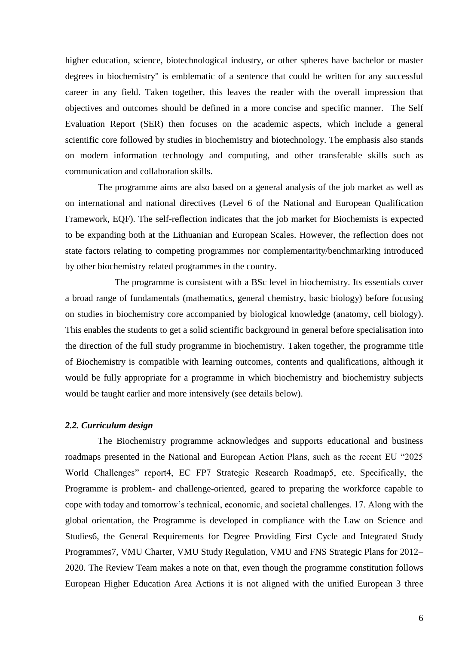higher education, science, biotechnological industry, or other spheres have bachelor or master degrees in biochemistry" is emblematic of a sentence that could be written for any successful career in any field. Taken together, this leaves the reader with the overall impression that objectives and outcomes should be defined in a more concise and specific manner. The Self Evaluation Report (SER) then focuses on the academic aspects, which include a general scientific core followed by studies in biochemistry and biotechnology. The emphasis also stands on modern information technology and computing, and other transferable skills such as communication and collaboration skills.

The programme aims are also based on a general analysis of the job market as well as on international and national directives (Level 6 of the National and European Qualification Framework, EQF). The self-reflection indicates that the job market for Biochemists is expected to be expanding both at the Lithuanian and European Scales. However, the reflection does not state factors relating to competing programmes nor complementarity/benchmarking introduced by other biochemistry related programmes in the country.

The programme is consistent with a BSc level in biochemistry. Its essentials cover a broad range of fundamentals (mathematics, general chemistry, basic biology) before focusing on studies in biochemistry core accompanied by biological knowledge (anatomy, cell biology). This enables the students to get a solid scientific background in general before specialisation into the direction of the full study programme in biochemistry. Taken together, the programme title of Biochemistry is compatible with learning outcomes, contents and qualifications, although it would be fully appropriate for a programme in which biochemistry and biochemistry subjects would be taught earlier and more intensively (see details below).

#### <span id="page-5-0"></span>*2.2. Curriculum design*

The Biochemistry programme acknowledges and supports educational and business roadmaps presented in the National and European Action Plans, such as the recent EU "2025 World Challenges" report4, EC FP7 Strategic Research Roadmap5, etc. Specifically, the Programme is problem- and challenge-oriented, geared to preparing the workforce capable to cope with today and tomorrow's technical, economic, and societal challenges. 17. Along with the global orientation, the Programme is developed in compliance with the Law on Science and Studies6, the General Requirements for Degree Providing First Cycle and Integrated Study Programmes7, VMU Charter, VMU Study Regulation, VMU and FNS Strategic Plans for 2012– 2020. The Review Team makes a note on that, even though the programme constitution follows European Higher Education Area Actions it is not aligned with the unified European 3 three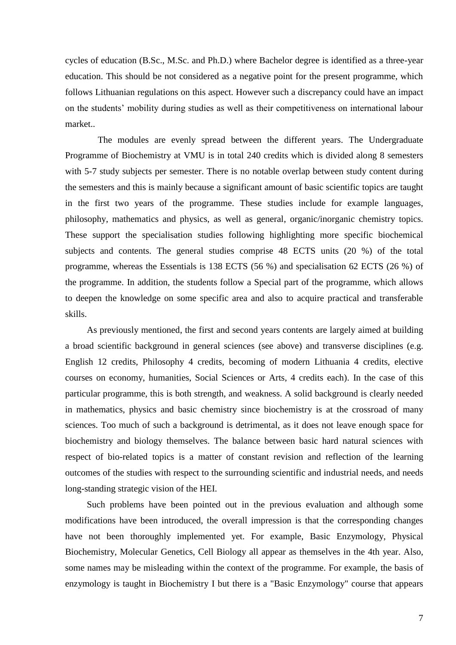cycles of education (B.Sc., M.Sc. and Ph.D.) where Bachelor degree is identified as a three-year education. This should be not considered as a negative point for the present programme, which follows Lithuanian regulations on this aspect. However such a discrepancy could have an impact on the students' mobility during studies as well as their competitiveness on international labour market..

The modules are evenly spread between the different years. The Undergraduate Programme of Biochemistry at VMU is in total 240 credits which is divided along 8 semesters with 5-7 study subjects per semester. There is no notable overlap between study content during the semesters and this is mainly because a significant amount of basic scientific topics are taught in the first two years of the programme. These studies include for example languages, philosophy, mathematics and physics, as well as general, organic/inorganic chemistry topics. These support the specialisation studies following highlighting more specific biochemical subjects and contents. The general studies comprise 48 ECTS units (20 %) of the total programme, whereas the Essentials is 138 ECTS (56 %) and specialisation 62 ECTS (26 %) of the programme. In addition, the students follow a Special part of the programme, which allows to deepen the knowledge on some specific area and also to acquire practical and transferable skills.

As previously mentioned, the first and second years contents are largely aimed at building a broad scientific background in general sciences (see above) and transverse disciplines (e.g. English 12 credits, Philosophy 4 credits, becoming of modern Lithuania 4 credits, elective courses on economy, humanities, Social Sciences or Arts, 4 credits each). In the case of this particular programme, this is both strength, and weakness. A solid background is clearly needed in mathematics, physics and basic chemistry since biochemistry is at the crossroad of many sciences. Too much of such a background is detrimental, as it does not leave enough space for biochemistry and biology themselves. The balance between basic hard natural sciences with respect of bio-related topics is a matter of constant revision and reflection of the learning outcomes of the studies with respect to the surrounding scientific and industrial needs, and needs long-standing strategic vision of the HEI.

Such problems have been pointed out in the previous evaluation and although some modifications have been introduced, the overall impression is that the corresponding changes have not been thoroughly implemented yet. For example, Basic Enzymology, Physical Biochemistry, Molecular Genetics, Cell Biology all appear as themselves in the 4th year. Also, some names may be misleading within the context of the programme. For example, the basis of enzymology is taught in Biochemistry I but there is a "Basic Enzymology" course that appears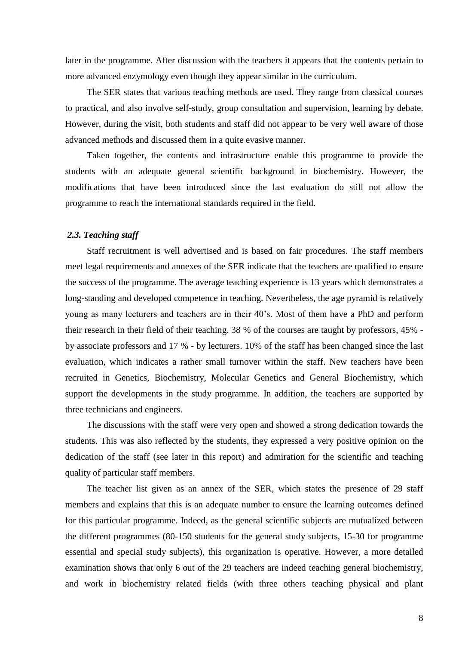later in the programme. After discussion with the teachers it appears that the contents pertain to more advanced enzymology even though they appear similar in the curriculum.

The SER states that various teaching methods are used. They range from classical courses to practical, and also involve self-study, group consultation and supervision, learning by debate. However, during the visit, both students and staff did not appear to be very well aware of those advanced methods and discussed them in a quite evasive manner.

Taken together, the contents and infrastructure enable this programme to provide the students with an adequate general scientific background in biochemistry. However, the modifications that have been introduced since the last evaluation do still not allow the programme to reach the international standards required in the field.

## <span id="page-7-0"></span>*2.3. Teaching staff*

Staff recruitment is well advertised and is based on fair procedures. The staff members meet legal requirements and annexes of the SER indicate that the teachers are qualified to ensure the success of the programme. The average teaching experience is 13 years which demonstrates a long-standing and developed competence in teaching. Nevertheless, the age pyramid is relatively young as many lecturers and teachers are in their 40's. Most of them have a PhD and perform their research in their field of their teaching. 38 % of the courses are taught by professors, 45% by associate professors and 17 % - by lecturers. 10% of the staff has been changed since the last evaluation, which indicates a rather small turnover within the staff. New teachers have been recruited in Genetics, Biochemistry, Molecular Genetics and General Biochemistry, which support the developments in the study programme. In addition, the teachers are supported by three technicians and engineers.

The discussions with the staff were very open and showed a strong dedication towards the students. This was also reflected by the students, they expressed a very positive opinion on the dedication of the staff (see later in this report) and admiration for the scientific and teaching quality of particular staff members.

The teacher list given as an annex of the SER, which states the presence of 29 staff members and explains that this is an adequate number to ensure the learning outcomes defined for this particular programme. Indeed, as the general scientific subjects are mutualized between the different programmes (80-150 students for the general study subjects, 15-30 for programme essential and special study subjects), this organization is operative. However, a more detailed examination shows that only 6 out of the 29 teachers are indeed teaching general biochemistry, and work in biochemistry related fields (with three others teaching physical and plant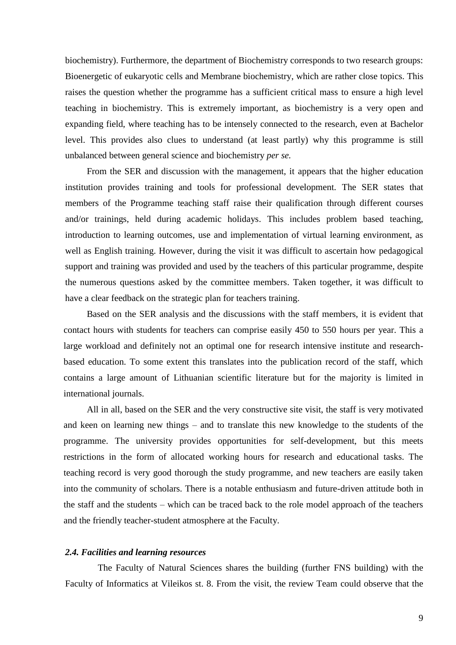biochemistry). Furthermore, the department of Biochemistry corresponds to two research groups: Bioenergetic of eukaryotic cells and Membrane biochemistry, which are rather close topics. This raises the question whether the programme has a sufficient critical mass to ensure a high level teaching in biochemistry. This is extremely important, as biochemistry is a very open and expanding field, where teaching has to be intensely connected to the research, even at Bachelor level. This provides also clues to understand (at least partly) why this programme is still unbalanced between general science and biochemistry *per se.* 

From the SER and discussion with the management, it appears that the higher education institution provides training and tools for professional development. The SER states that members of the Programme teaching staff raise their qualification through different courses and/or trainings, held during academic holidays. This includes problem based teaching, introduction to learning outcomes, use and implementation of virtual learning environment, as well as English training. However, during the visit it was difficult to ascertain how pedagogical support and training was provided and used by the teachers of this particular programme, despite the numerous questions asked by the committee members. Taken together, it was difficult to have a clear feedback on the strategic plan for teachers training.

Based on the SER analysis and the discussions with the staff members, it is evident that contact hours with students for teachers can comprise easily 450 to 550 hours per year. This a large workload and definitely not an optimal one for research intensive institute and researchbased education. To some extent this translates into the publication record of the staff, which contains a large amount of Lithuanian scientific literature but for the majority is limited in international journals.

All in all, based on the SER and the very constructive site visit, the staff is very motivated and keen on learning new things – and to translate this new knowledge to the students of the programme. The university provides opportunities for self-development, but this meets restrictions in the form of allocated working hours for research and educational tasks. The teaching record is very good thorough the study programme, and new teachers are easily taken into the community of scholars. There is a notable enthusiasm and future-driven attitude both in the staff and the students – which can be traced back to the role model approach of the teachers and the friendly teacher-student atmosphere at the Faculty.

# <span id="page-8-0"></span>*2.4. Facilities and learning resources*

The Faculty of Natural Sciences shares the building (further FNS building) with the Faculty of Informatics at Vileikos st. 8. From the visit, the review Team could observe that the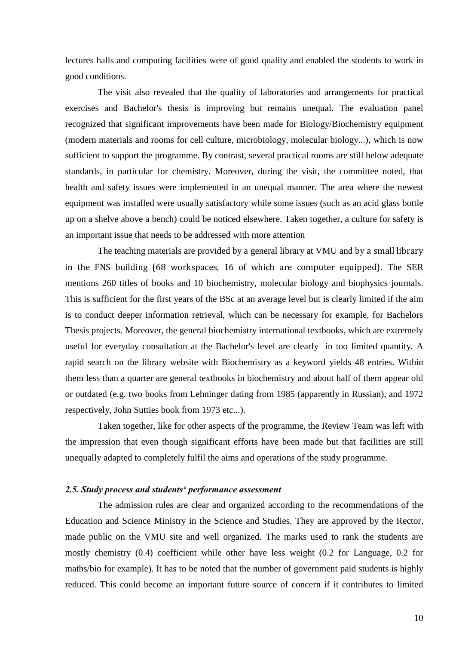lectures halls and computing facilities were of good quality and enabled the students to work in good conditions.

The visit also revealed that the quality of laboratories and arrangements for practical exercises and Bachelor's thesis is improving but remains unequal. The evaluation panel recognized that significant improvements have been made for Biology/Biochemistry equipment (modern materials and rooms for cell culture, microbiology, molecular biology...), which is now sufficient to support the programme. By contrast, several practical rooms are still below adequate standards, in particular for chemistry. Moreover, during the visit, the committee noted, that health and safety issues were implemented in an unequal manner. The area where the newest equipment was installed were usually satisfactory while some issues (such as an acid glass bottle up on a shelve above a bench) could be noticed elsewhere. Taken together, a culture for safety is an important issue that needs to be addressed with more attention

The teaching materials are provided by a general library at VMU and by a small library in the FNS building (68 workspaces, 16 of which are computer equipped). The SER mentions 260 titles of books and 10 biochemistry, molecular biology and biophysics journals. This is sufficient for the first years of the BSc at an average level but is clearly limited if the aim is to conduct deeper information retrieval, which can be necessary for example, for Bachelors Thesis projects. Moreover, the general biochemistry international textbooks, which are extremely useful for everyday consultation at the Bachelor's level are clearly in too limited quantity. A rapid search on the library website with Biochemistry as a keyword yields 48 entries. Within them less than a quarter are general textbooks in biochemistry and about half of them appear old or outdated (e.g. two books from Lehninger dating from 1985 (apparently in Russian), and 1972 respectively, John Sutties book from 1973 etc...).

Taken together, like for other aspects of the programme, the Review Team was left with the impression that even though significant efforts have been made but that facilities are still unequally adapted to completely fulfil the aims and operations of the study programme.

## <span id="page-9-0"></span>*2.5. Study process and students' performance assessment*

The admission rules are clear and organized according to the recommendations of the Education and Science Ministry in the Science and Studies. They are approved by the Rector, made public on the VMU site and well organized. The marks used to rank the students are mostly chemistry (0.4) coefficient while other have less weight (0.2 for Language, 0.2 for maths/bio for example). It has to be noted that the number of government paid students is highly reduced. This could become an important future source of concern if it contributes to limited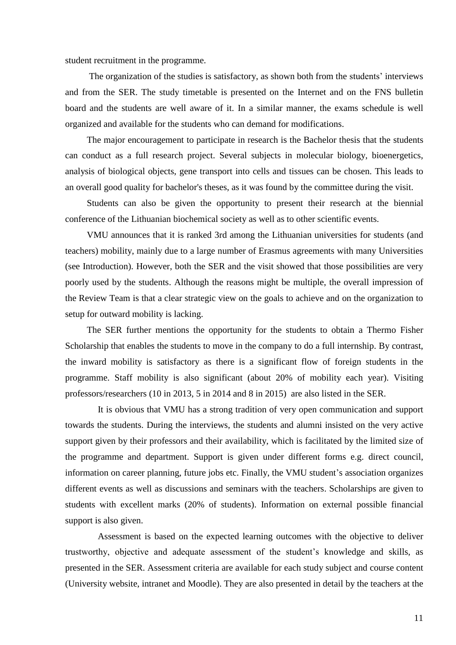student recruitment in the programme.

The organization of the studies is satisfactory, as shown both from the students' interviews and from the SER. The study timetable is presented on the Internet and on the FNS bulletin board and the students are well aware of it. In a similar manner, the exams schedule is well organized and available for the students who can demand for modifications.

The major encouragement to participate in research is the Bachelor thesis that the students can conduct as a full research project. Several subjects in molecular biology, bioenergetics, analysis of biological objects, gene transport into cells and tissues can be chosen. This leads to an overall good quality for bachelor's theses, as it was found by the committee during the visit.

Students can also be given the opportunity to present their research at the biennial conference of the Lithuanian biochemical society as well as to other scientific events.

VMU announces that it is ranked 3rd among the Lithuanian universities for students (and teachers) mobility, mainly due to a large number of Erasmus agreements with many Universities (see Introduction). However, both the SER and the visit showed that those possibilities are very poorly used by the students. Although the reasons might be multiple, the overall impression of the Review Team is that a clear strategic view on the goals to achieve and on the organization to setup for outward mobility is lacking.

The SER further mentions the opportunity for the students to obtain a Thermo Fisher Scholarship that enables the students to move in the company to do a full internship. By contrast, the inward mobility is satisfactory as there is a significant flow of foreign students in the programme. Staff mobility is also significant (about 20% of mobility each year). Visiting professors/researchers (10 in 2013, 5 in 2014 and 8 in 2015) are also listed in the SER.

It is obvious that VMU has a strong tradition of very open communication and support towards the students. During the interviews, the students and alumni insisted on the very active support given by their professors and their availability, which is facilitated by the limited size of the programme and department. Support is given under different forms e.g. direct council, information on career planning, future jobs etc. Finally, the VMU student's association organizes different events as well as discussions and seminars with the teachers. Scholarships are given to students with excellent marks (20% of students). Information on external possible financial support is also given.

Assessment is based on the expected learning outcomes with the objective to deliver trustworthy, objective and adequate assessment of the student's knowledge and skills, as presented in the SER. Assessment criteria are available for each study subject and course content (University website, intranet and Moodle). They are also presented in detail by the teachers at the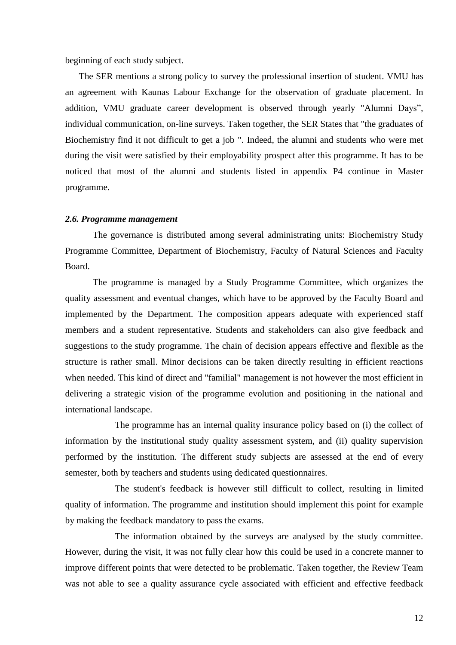beginning of each study subject.

The SER mentions a strong policy to survey the professional insertion of student. VMU has an agreement with Kaunas Labour Exchange for the observation of graduate placement. In addition, VMU graduate career development is observed through yearly "Alumni Days", individual communication, on-line surveys. Taken together, the SER States that "the graduates of Biochemistry find it not difficult to get a job ". Indeed, the alumni and students who were met during the visit were satisfied by their employability prospect after this programme. It has to be noticed that most of the alumni and students listed in appendix P4 continue in Master programme.

#### <span id="page-11-0"></span>*2.6. Programme management*

The governance is distributed among several administrating units: Biochemistry Study Programme Committee, Department of Biochemistry, Faculty of Natural Sciences and Faculty Board.

The programme is managed by a Study Programme Committee, which organizes the quality assessment and eventual changes, which have to be approved by the Faculty Board and implemented by the Department. The composition appears adequate with experienced staff members and a student representative. Students and stakeholders can also give feedback and suggestions to the study programme. The chain of decision appears effective and flexible as the structure is rather small. Minor decisions can be taken directly resulting in efficient reactions when needed. This kind of direct and "familial" management is not however the most efficient in delivering a strategic vision of the programme evolution and positioning in the national and international landscape.

The programme has an internal quality insurance policy based on (i) the collect of information by the institutional study quality assessment system, and (ii) quality supervision performed by the institution. The different study subjects are assessed at the end of every semester, both by teachers and students using dedicated questionnaires.

The student's feedback is however still difficult to collect, resulting in limited quality of information. The programme and institution should implement this point for example by making the feedback mandatory to pass the exams.

The information obtained by the surveys are analysed by the study committee. However, during the visit, it was not fully clear how this could be used in a concrete manner to improve different points that were detected to be problematic. Taken together, the Review Team was not able to see a quality assurance cycle associated with efficient and effective feedback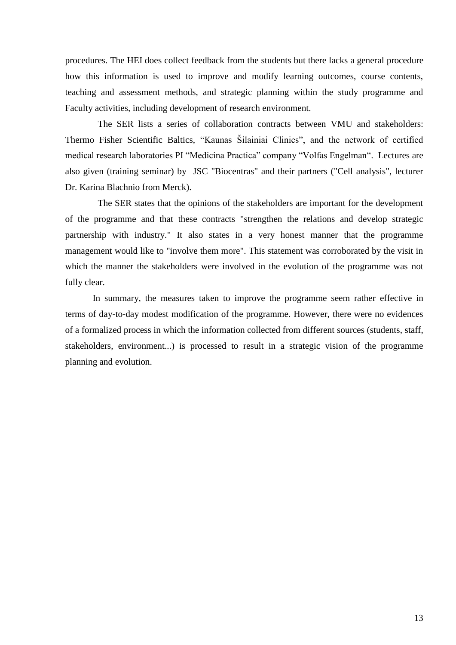procedures. The HEI does collect feedback from the students but there lacks a general procedure how this information is used to improve and modify learning outcomes, course contents, teaching and assessment methods, and strategic planning within the study programme and Faculty activities, including development of research environment.

The SER lists a series of collaboration contracts between VMU and stakeholders: Thermo Fisher Scientific Baltics, "Kaunas Šilainiai Clinics", and the network of certified medical research laboratories PI "Medicina Practica" company "Volfas Engelman". Lectures are also given (training seminar) by JSC "Biocentras" and their partners ("Cell analysis", lecturer Dr. Karina Blachnio from Merck).

The SER states that the opinions of the stakeholders are important for the development of the programme and that these contracts "strengthen the relations and develop strategic partnership with industry." It also states in a very honest manner that the programme management would like to "involve them more". This statement was corroborated by the visit in which the manner the stakeholders were involved in the evolution of the programme was not fully clear.

In summary, the measures taken to improve the programme seem rather effective in terms of day-to-day modest modification of the programme. However, there were no evidences of a formalized process in which the information collected from different sources (students, staff, stakeholders, environment...) is processed to result in a strategic vision of the programme planning and evolution.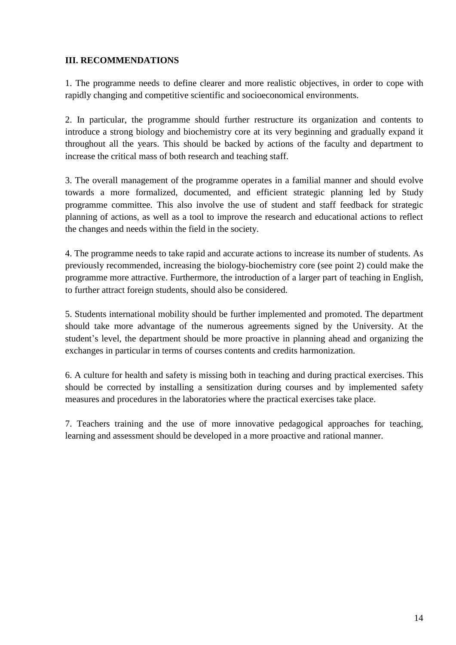# <span id="page-13-0"></span>**III. RECOMMENDATIONS**

1. The programme needs to define clearer and more realistic objectives, in order to cope with rapidly changing and competitive scientific and socioeconomical environments.

2. In particular, the programme should further restructure its organization and contents to introduce a strong biology and biochemistry core at its very beginning and gradually expand it throughout all the years. This should be backed by actions of the faculty and department to increase the critical mass of both research and teaching staff.

3. The overall management of the programme operates in a familial manner and should evolve towards a more formalized, documented, and efficient strategic planning led by Study programme committee. This also involve the use of student and staff feedback for strategic planning of actions, as well as a tool to improve the research and educational actions to reflect the changes and needs within the field in the society.

4. The programme needs to take rapid and accurate actions to increase its number of students. As previously recommended, increasing the biology-biochemistry core (see point 2) could make the programme more attractive. Furthermore, the introduction of a larger part of teaching in English, to further attract foreign students, should also be considered.

5. Students international mobility should be further implemented and promoted. The department should take more advantage of the numerous agreements signed by the University. At the student's level, the department should be more proactive in planning ahead and organizing the exchanges in particular in terms of courses contents and credits harmonization.

6. A culture for health and safety is missing both in teaching and during practical exercises. This should be corrected by installing a sensitization during courses and by implemented safety measures and procedures in the laboratories where the practical exercises take place.

7. Teachers training and the use of more innovative pedagogical approaches for teaching, learning and assessment should be developed in a more proactive and rational manner.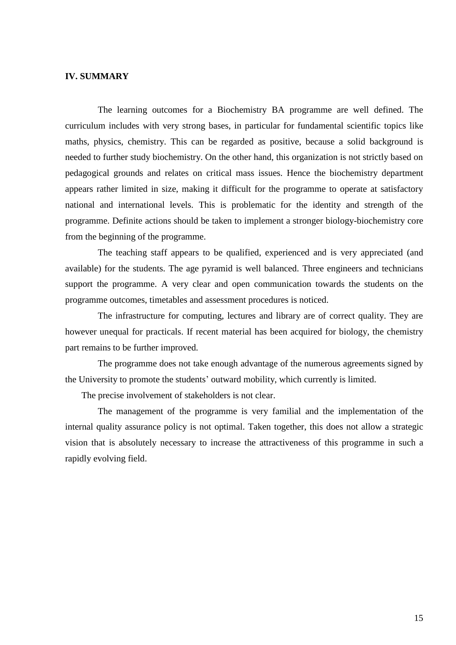# **IV. SUMMARY**

The learning outcomes for a Biochemistry BA programme are well defined. The curriculum includes with very strong bases, in particular for fundamental scientific topics like maths, physics, chemistry. This can be regarded as positive, because a solid background is needed to further study biochemistry. On the other hand, this organization is not strictly based on pedagogical grounds and relates on critical mass issues. Hence the biochemistry department appears rather limited in size, making it difficult for the programme to operate at satisfactory national and international levels. This is problematic for the identity and strength of the programme. Definite actions should be taken to implement a stronger biology-biochemistry core from the beginning of the programme.

The teaching staff appears to be qualified, experienced and is very appreciated (and available) for the students. The age pyramid is well balanced. Three engineers and technicians support the programme. A very clear and open communication towards the students on the programme outcomes, timetables and assessment procedures is noticed.

The infrastructure for computing, lectures and library are of correct quality. They are however unequal for practicals. If recent material has been acquired for biology, the chemistry part remains to be further improved.

The programme does not take enough advantage of the numerous agreements signed by the University to promote the students' outward mobility, which currently is limited.

The precise involvement of stakeholders is not clear.

The management of the programme is very familial and the implementation of the internal quality assurance policy is not optimal. Taken together, this does not allow a strategic vision that is absolutely necessary to increase the attractiveness of this programme in such a rapidly evolving field.